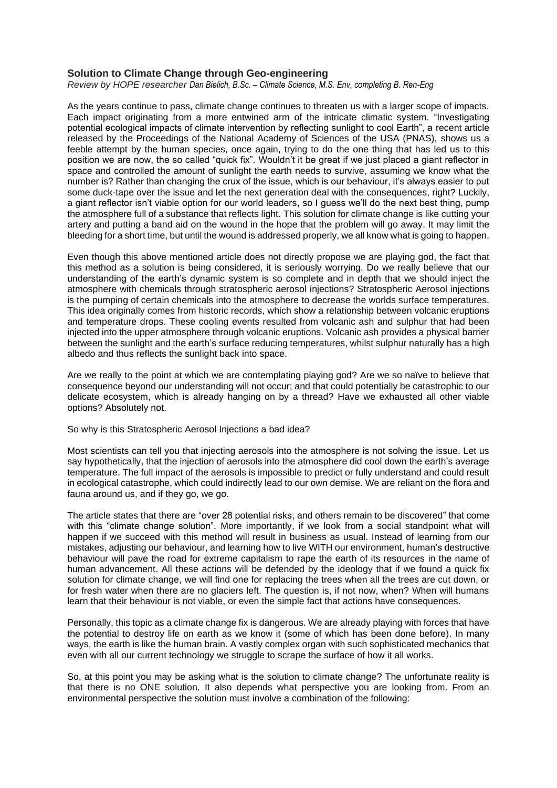## **Solution to Climate Change through Geo-engineering**

*Review by HOPE researcher Dan Bielich, B.Sc. – Climate Science, M.S. Env, completing B. Ren-Eng*

As the years continue to pass, climate change continues to threaten us with a larger scope of impacts. Each impact originating from a more entwined arm of the intricate climatic system. "Investigating potential ecological impacts of climate intervention by reflecting sunlight to cool Earth", a recent article released by the Proceedings of the National Academy of Sciences of the USA (PNAS), shows us a feeble attempt by the human species, once again, trying to do the one thing that has led us to this position we are now, the so called "quick fix". Wouldn't it be great if we just placed a giant reflector in space and controlled the amount of sunlight the earth needs to survive, assuming we know what the number is? Rather than changing the crux of the issue, which is our behaviour, it's always easier to put some duck-tape over the issue and let the next generation deal with the consequences, right? Luckily, a giant reflector isn't viable option for our world leaders, so I guess we'll do the next best thing, pump the atmosphere full of a substance that reflects light. This solution for climate change is like cutting your artery and putting a band aid on the wound in the hope that the problem will go away. It may limit the bleeding for a short time, but until the wound is addressed properly, we all know what is going to happen.

Even though this above mentioned article does not directly propose we are playing god, the fact that this method as a solution is being considered, it is seriously worrying. Do we really believe that our understanding of the earth's dynamic system is so complete and in depth that we should inject the atmosphere with chemicals through stratospheric aerosol injections? Stratospheric Aerosol injections is the pumping of certain chemicals into the atmosphere to decrease the worlds surface temperatures. This idea originally comes from historic records, which show a relationship between volcanic eruptions and temperature drops. These cooling events resulted from volcanic ash and sulphur that had been injected into the upper atmosphere through volcanic eruptions. Volcanic ash provides a physical barrier between the sunlight and the earth's surface reducing temperatures, whilst sulphur naturally has a high albedo and thus reflects the sunlight back into space.

Are we really to the point at which we are contemplating playing god? Are we so naïve to believe that consequence beyond our understanding will not occur; and that could potentially be catastrophic to our delicate ecosystem, which is already hanging on by a thread? Have we exhausted all other viable options? Absolutely not.

So why is this Stratospheric Aerosol Injections a bad idea?

Most scientists can tell you that injecting aerosols into the atmosphere is not solving the issue. Let us say hypothetically, that the injection of aerosols into the atmosphere did cool down the earth's average temperature. The full impact of the aerosols is impossible to predict or fully understand and could result in ecological catastrophe, which could indirectly lead to our own demise. We are reliant on the flora and fauna around us, and if they go, we go.

The article states that there are "over 28 potential risks, and others remain to be discovered" that come with this "climate change solution". More importantly, if we look from a social standpoint what will happen if we succeed with this method will result in business as usual. Instead of learning from our mistakes, adjusting our behaviour, and learning how to live WITH our environment, human's destructive behaviour will pave the road for extreme capitalism to rape the earth of its resources in the name of human advancement. All these actions will be defended by the ideology that if we found a quick fix solution for climate change, we will find one for replacing the trees when all the trees are cut down, or for fresh water when there are no glaciers left. The question is, if not now, when? When will humans learn that their behaviour is not viable, or even the simple fact that actions have consequences.

Personally, this topic as a climate change fix is dangerous. We are already playing with forces that have the potential to destroy life on earth as we know it (some of which has been done before). In many ways, the earth is like the human brain. A vastly complex organ with such sophisticated mechanics that even with all our current technology we struggle to scrape the surface of how it all works.

So, at this point you may be asking what is the solution to climate change? The unfortunate reality is that there is no ONE solution. It also depends what perspective you are looking from. From an environmental perspective the solution must involve a combination of the following: